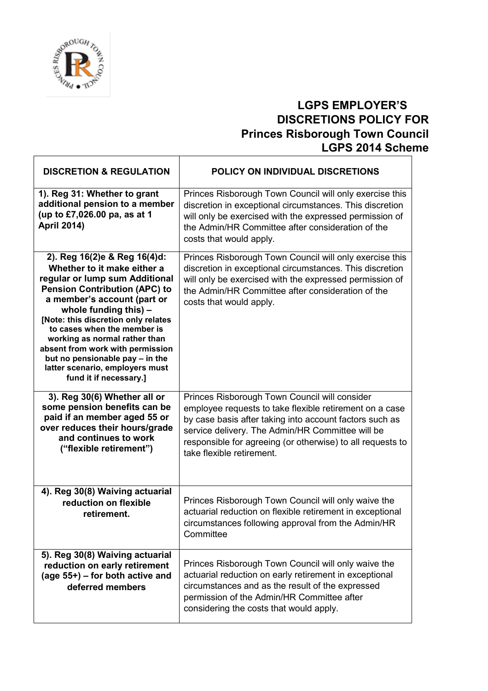

## **LGPS EMPLOYER'S DISCRETIONS POLICY FOR Princes Risborough Town Council LGPS 2014 Scheme**

| <b>DISCRETION &amp; REGULATION</b>                                                                                                                                                                                                                                                                                                                                                                                                         | POLICY ON INDIVIDUAL DISCRETIONS                                                                                                                                                                                                                                                                                   |
|--------------------------------------------------------------------------------------------------------------------------------------------------------------------------------------------------------------------------------------------------------------------------------------------------------------------------------------------------------------------------------------------------------------------------------------------|--------------------------------------------------------------------------------------------------------------------------------------------------------------------------------------------------------------------------------------------------------------------------------------------------------------------|
| 1). Reg 31: Whether to grant<br>additional pension to a member<br>(up to £7,026.00 pa, as at 1<br><b>April 2014)</b>                                                                                                                                                                                                                                                                                                                       | Princes Risborough Town Council will only exercise this<br>discretion in exceptional circumstances. This discretion<br>will only be exercised with the expressed permission of<br>the Admin/HR Committee after consideration of the<br>costs that would apply.                                                     |
| 2). Reg 16(2)e & Reg 16(4)d:<br>Whether to it make either a<br>regular or lump sum Additional<br><b>Pension Contribution (APC) to</b><br>a member's account (part or<br>whole funding this) $-$<br>[Note: this discretion only relates<br>to cases when the member is<br>working as normal rather than<br>absent from work with permission<br>but no pensionable pay - in the<br>latter scenario, employers must<br>fund it if necessary.] | Princes Risborough Town Council will only exercise this<br>discretion in exceptional circumstances. This discretion<br>will only be exercised with the expressed permission of<br>the Admin/HR Committee after consideration of the<br>costs that would apply.                                                     |
| 3). Reg 30(6) Whether all or<br>some pension benefits can be<br>paid if an member aged 55 or<br>over reduces their hours/grade<br>and continues to work<br>("flexible retirement")                                                                                                                                                                                                                                                         | Princes Risborough Town Council will consider<br>employee requests to take flexible retirement on a case<br>by case basis after taking into account factors such as<br>service delivery. The Admin/HR Committee will be<br>responsible for agreeing (or otherwise) to all requests to<br>take flexible retirement. |
| 4). Reg 30(8) Waiving actuarial<br>reduction on flexible<br>retirement.                                                                                                                                                                                                                                                                                                                                                                    | Princes Risborough Town Council will only waive the<br>actuarial reduction on flexible retirement in exceptional<br>circumstances following approval from the Admin/HR<br>Committee                                                                                                                                |
| 5). Reg 30(8) Waiving actuarial<br>reduction on early retirement<br>(age 55+) - for both active and<br>deferred members                                                                                                                                                                                                                                                                                                                    | Princes Risborough Town Council will only waive the<br>actuarial reduction on early retirement in exceptional<br>circumstances and as the result of the expressed<br>permission of the Admin/HR Committee after<br>considering the costs that would apply.                                                         |